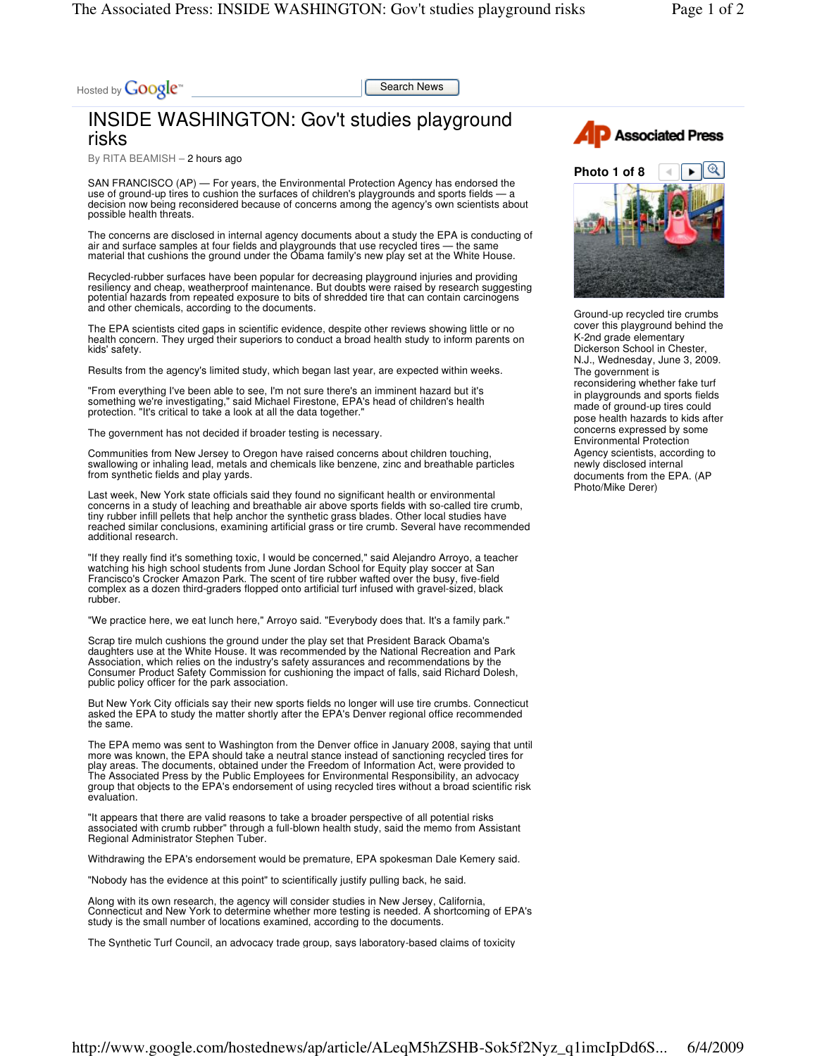Hosted by **Google**<sup>\*\*</sup>

Search News

## INSIDE WASHINGTON: Gov't studies playground risks

By RITA BEAMISH – 2 hours ago

SAN FRANCISCO (AP) — For years, the Environmental Protection Agency has endorsed the use of ground-up tires to cushion the surfaces of children's playgrounds and sports fields – decision now being reconsidered because of concerns among the agency's own scientists about possible health threats.

The concerns are disclosed in internal agency documents about a study the EPA is conducting of air and surface samples at four fields and playgrounds that use recycled tires — the same material that cushions the ground under the Obama family's new play set at the White House.

Recycled-rubber surfaces have been popular for decreasing playground injuries and providing resiliency and cheap, weatherproof maintenance. But doubts were raised by research suggesting potential hazards from repeated exposure to bits of shredded tire that can contain carcinogens and other chemicals, according to the documents.

The EPA scientists cited gaps in scientific evidence, despite other reviews showing little or no health concern. They urged their superiors to conduct a broad health study to inform parents on kids' safety.

Results from the agency's limited study, which began last year, are expected within weeks.

"From everything I've been able to see, I'm not sure there's an imminent hazard but it's<br>something we're investigating," said Michael Firestone, EPA's head of children's health<br>protection. "It's critical to take a look at

The government has not decided if broader testing is necessary.

Communities from New Jersey to Oregon have raised concerns about children touching, swallowing or inhaling lead, metals and chemicals like benzene, zinc and breathable particles from synthetic fields and play yards.

Last week, New York state officials said they found no significant health or environmental concerns in a study of leaching and breathable air above sports fields with so-called tire crumb, tiny rubber infill pellets that help anchor the synthetic grass blades. Other local studies have reached similar conclusions, examining artificial grass or tire crumb. Several have recommended additional research.

"If they really find it's something toxic, I would be concerned," said Alejandro Arroyo, a teacher watching his high school students from June Jordan School for Equity play soccer at San Francisco's Crocker Amazon Park. The scent of tire rubber wafted over the busy, five-field complex as a dozen third-graders flopped onto artificial turf infused with gravel-sized, black rubber.

"We practice here, we eat lunch here," Arroyo said. "Everybody does that. It's a family park."

Scrap tire mulch cushions the ground under the play set that President Barack Obama's daughters use at the White House. It was recommended by the National Recreation and Park Association, which relies on the industry's safety assurances and recommendations by the Consumer Product Safety Commission for cushioning the impact of falls, said Richard Dolesh, public policy officer for the park association.

But New York City officials say their new sports fields no longer will use tire crumbs. Connecticut asked the EPA to study the matter shortly after the EPA's Denver regional office recommended the same.

The EPA memo was sent to Washington from the Denver office in January 2008, saying that until more was known, the EPA should take a neutral stance instead of sanctioning recycled tires for play areas. The documents, obtained under the Freedom of Information Act, were provided to The Associated Press by the Public Employees for Environmental Responsibility, an advocacy group that objects to the EPA's endorsement of using recycled tires without a broad scientific risk evaluation.

"It appears that there are valid reasons to take a broader perspective of all potential risks associated with crumb rubber" through a full-blown health study, said the memo from Assistant Regional Administrator Stephen Tuber.

Withdrawing the EPA's endorsement would be premature, EPA spokesman Dale Kemery said.

"Nobody has the evidence at this point" to scientifically justify pulling back, he said.

Along with its own research, the agency will consider studies in New Jersey, California, Connecticut and New York to determine whether more testing is needed. A shortcoming of EPA's study is the small number of locations examined, according to the documents.

The Synthetic Turf Council, an advocacy trade group, says laboratory-based claims of toxicity





Ground-up recycled tire crumbs cover this playground behind the K-2nd grade elementary Dickerson School in Chester, N.J., Wednesday, June 3, 2009. The government is reconsidering whether fake turf in playgrounds and sports fields made of ground-up tires could pose health hazards to kids after concerns expressed by some Environmental Protection Agency scientists, according to newly disclosed internal documents from the EPA. (AP Photo/Mike Derer)